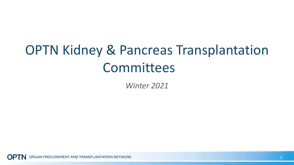## OPTN Kidney & Pancreas Transplantation Committees

*Winter 2021*

RGAN PROCUREMENT AND TRANSPLANTATION NETWORK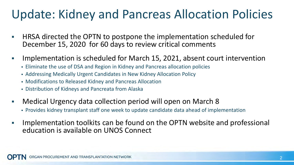#### Update: Kidney and Pancreas Allocation Policies

- **HRSA directed the OPTN to postpone the implementation scheduled for** December 15, 2020 for 60 days to review critical comments
- Implementation is scheduled for March 15, 2021, absent court intervention
	- Eliminate the use of DSA and Region in Kidney and Pancreas allocation policies
	- Addressing Medically Urgent Candidates in New Kidney Allocation Policy
	- Modifications to Released Kidney and Pancreas Allocation
	- Distribution of Kidneys and Pancreata from Alaska
- Medical Urgency data collection period will open on March 8
	- Provides kidney transplant staff one week to update candidate data ahead of implementation
- Implementation toolkits can be found on the OPTN website and professional education is available on UNOS Connect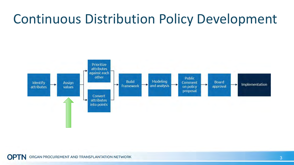### Continuous Distribution Policy Development



ORGAN PROCUREMENT AND TRANSPLANTATION NETWORK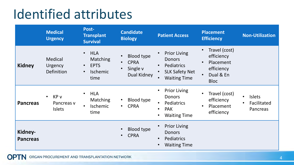### Identified attributes

|                            | <b>Medical</b><br><b>Urgency</b>                            | Post-<br><b>Transplant</b><br><b>Survival</b>                                                           | <b>Candidate</b><br><b>Biology</b>                                                    | <b>Patient Access</b>                                                                                             | <b>Placement</b><br><b>Efficiency</b>                                                                        | <b>Non-Utilization</b>                                |
|----------------------------|-------------------------------------------------------------|---------------------------------------------------------------------------------------------------------|---------------------------------------------------------------------------------------|-------------------------------------------------------------------------------------------------------------------|--------------------------------------------------------------------------------------------------------------|-------------------------------------------------------|
| <b>Kidney</b>              | Medical<br><b>Urgency</b><br>Definition                     | <b>HLA</b><br>$\bullet$<br>Matching<br><b>EPTS</b><br>$\bullet$<br><b>Ischemic</b><br>$\bullet$<br>time | <b>Blood type</b><br>$\bullet$<br><b>CPRA</b><br>$\bullet$<br>Single v<br>Dual Kidney | <b>Prior Living</b><br><b>Donors</b><br>Pediatrics<br>$\bullet$<br><b>SLK Safety Net</b><br><b>Waiting Time</b>   | Travel (cost)<br>$\bullet$<br>efficiency<br>Placement<br>$\bullet$<br>efficiency<br>Dual & En<br><b>Bloc</b> |                                                       |
| <b>Pancreas</b>            | KP <sub>v</sub><br>$\bullet$<br>Pancreas v<br><b>Islets</b> | <b>HLA</b><br><b>Matching</b><br><b>Ischemic</b><br>$\bullet$<br>time                                   | Blood type<br>$\bullet$<br><b>CPRA</b><br>$\bullet$                                   | <b>Prior Living</b><br>$\bullet$<br><b>Donors</b><br>Pediatrics<br><b>PAK</b><br>$\bullet$<br><b>Waiting Time</b> | Travel (cost)<br>efficiency<br>Placement<br>efficiency                                                       | <b>Islets</b><br>$\bullet$<br>Facilitated<br>Pancreas |
| Kidney-<br><b>Pancreas</b> |                                                             |                                                                                                         | Blood type<br><b>CPRA</b>                                                             | <b>Prior Living</b><br><b>Donors</b><br>Pediatrics<br><b>Waiting Time</b>                                         |                                                                                                              |                                                       |

ORGAN PROCUREMENT AND TRANSPLANTATION NETWORK **OPTN**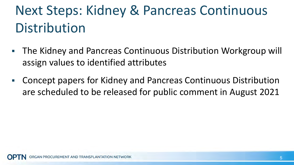# Next Steps: Kidney & Pancreas Continuous Distribution

- The Kidney and Pancreas Continuous Distribution Workgroup will assign values to identified attributes
- Concept papers for Kidney and Pancreas Continuous Distribution are scheduled to be released for public comment in August 2021